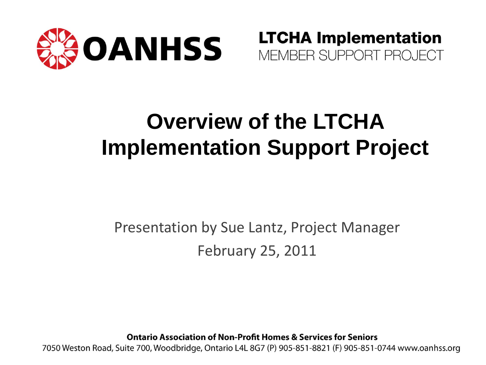

**LTCHA Implementation** MEMBER SUPPORT PROJECT

#### **Overview of the LTCHA Implementation Support Project**

#### Presentation by Sue Lantz, Project Manager February 25, 2011

**Ontario Association of Non-Profit Homes & Services for Seniors** 

7050 Weston Road, Suite 700, Woodbridge, Ontario L4L 8G7 (P) 905-851-8821 (F) 905-851-0744 www.oanhss.org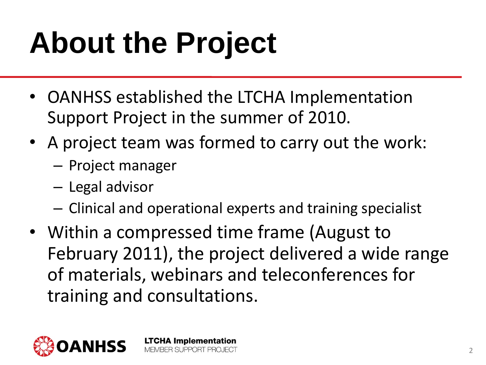## **About the Project**

- OANHSS established the LTCHA Implementation Support Project in the summer of 2010.
- A project team was formed to carry out the work:
	- Project manager
	- Legal advisor
	- Clinical and operational experts and training specialist
- Within a compressed time frame (August to February 2011), the project delivered a wide range of materials, webinars and teleconferences for training and consultations.

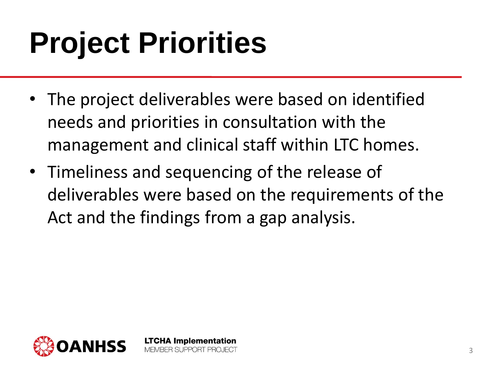## **Project Priorities**

- The project deliverables were based on identified needs and priorities in consultation with the management and clinical staff within LTC homes.
- Timeliness and sequencing of the release of deliverables were based on the requirements of the Act and the findings from a gap analysis.

**LTCHA Implementation** MEMBER SLIPPORT PROJECT



3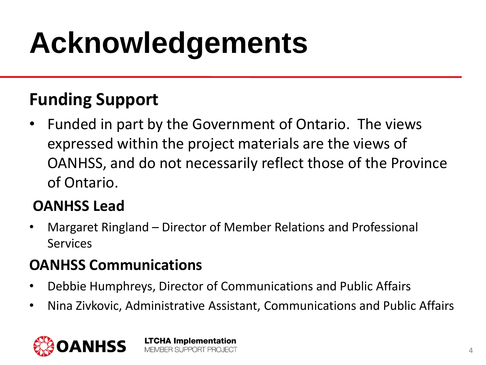### **Acknowledgements**

#### **Funding Support**

• Funded in part by the Government of Ontario. The views expressed within the project materials are the views of OANHSS, and do not necessarily reflect those of the Province of Ontario.

#### **OANHSS Lead**

• Margaret Ringland – Director of Member Relations and Professional Services

#### **OANHSS Communications**

• Debbie Humphreys, Director of Communications and Public Affairs

**LTCHA Implementation** MEMBER SUPPORT PROJECT

• Nina Zivkovic, Administrative Assistant, Communications and Public Affairs

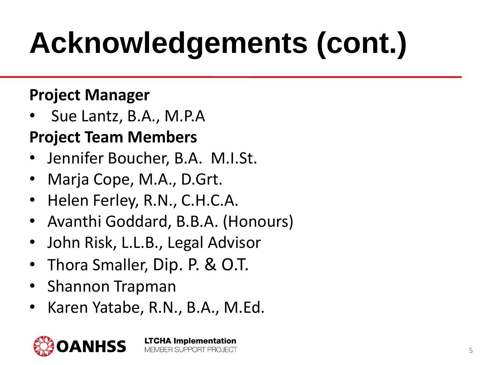# **Acknowledgements (cont.)**

#### **Project Manager**

• Sue Lantz, B.A., M.P.A

#### **Project Team Members**

- Jennifer Boucher, B.A. M.I.St.
- Marja Cope, M.A., D.Grt.
- Helen Ferley, R.N., C.H.C.A.
- Avanthi Goddard, B.B.A. (Honours)
- John Risk, L.L.B., Legal Advisor
- Thora Smaller, Dip. P. & O.T.
- Shannon Trapman
- Karen Yatabe, R.N., B.A., M.Ed.

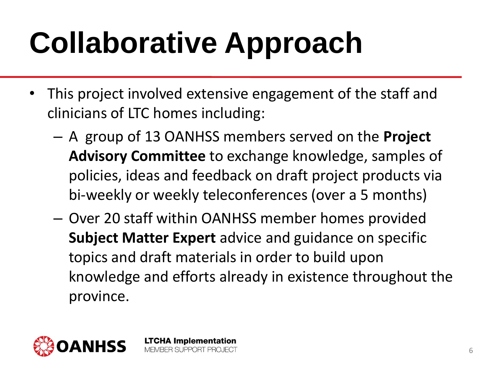# **Collaborative Approach**

- This project involved extensive engagement of the staff and clinicians of LTC homes including:
	- A group of 13 OANHSS members served on the **Project Advisory Committee** to exchange knowledge, samples of policies, ideas and feedback on draft project products via bi-weekly or weekly teleconferences (over a 5 months)
	- Over 20 staff within OANHSS member homes provided **Subject Matter Expert** advice and guidance on specific topics and draft materials in order to build upon knowledge and efforts already in existence throughout the province.

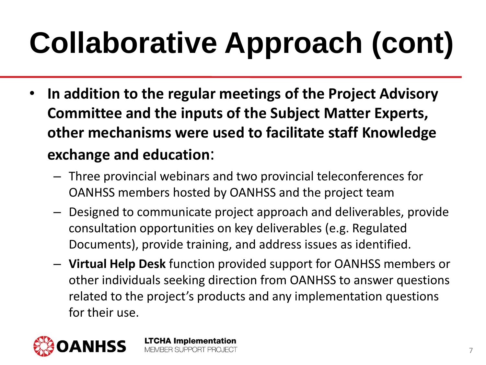# **Collaborative Approach (cont)**

- **In addition to the regular meetings of the Project Advisory Committee and the inputs of the Subject Matter Experts, other mechanisms were used to facilitate staff Knowledge exchange and education**:
	- Three provincial webinars and two provincial teleconferences for OANHSS members hosted by OANHSS and the project team
	- Designed to communicate project approach and deliverables, provide consultation opportunities on key deliverables (e.g. Regulated Documents), provide training, and address issues as identified.
	- **Virtual Help Desk** function provided support for OANHSS members or other individuals seeking direction from OANHSS to answer questions related to the project's products and any implementation questions for their use.

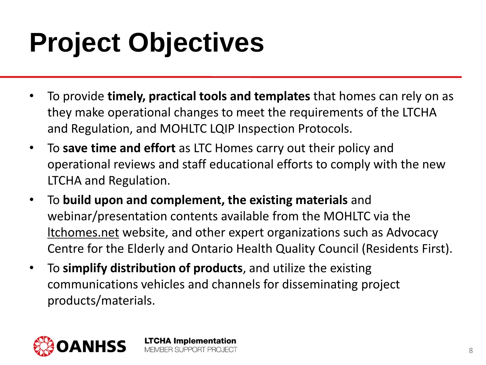### **Project Objectives**

- To provide **timely, practical tools and templates** that homes can rely on as they make operational changes to meet the requirements of the LTCHA and Regulation, and MOHLTC LQIP Inspection Protocols.
- To **save time and effort** as LTC Homes carry out their policy and operational reviews and staff educational efforts to comply with the new LTCHA and Regulation.
- To **build upon and complement, the existing materials** and webinar/presentation contents available from the MOHLTC via the ltchomes.net website, and other expert organizations such as Advocacy Centre for the Elderly and Ontario Health Quality Council (Residents First).
- To **simplify distribution of products**, and utilize the existing communications vehicles and channels for disseminating project products/materials.

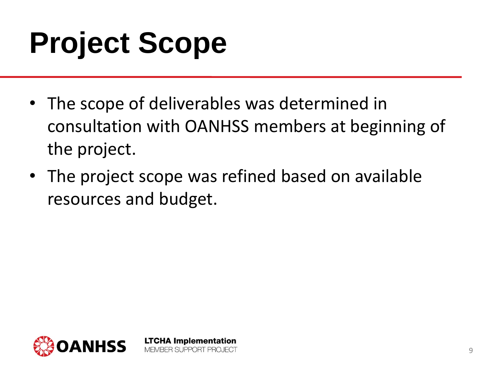## **Project Scope**

- The scope of deliverables was determined in consultation with OANHSS members at beginning of the project.
- The project scope was refined based on available resources and budget.

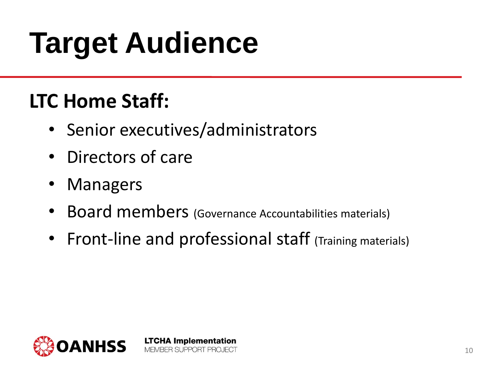## **Target Audience**

#### **LTC Home Staff:**

• Senior executives/administrators

- Directors of care
- Managers
- Board members (Governance Accountabilities materials)
- Front-line and professional staff (Training materials)

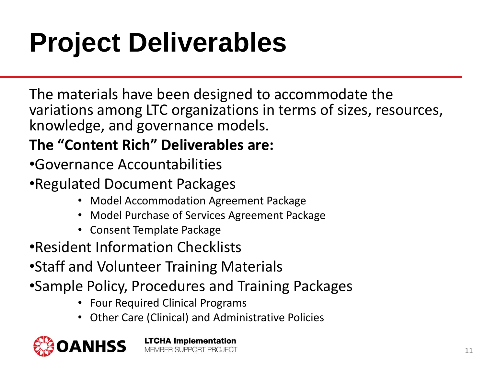### **Project Deliverables**

The materials have been designed to accommodate the variations among LTC organizations in terms of sizes, resources, knowledge, and governance models.

#### **The "Content Rich" Deliverables are:**

- •Governance Accountabilities
- •Regulated Document Packages
	- Model Accommodation Agreement Package
	- Model Purchase of Services Agreement Package
	- Consent Template Package
- •Resident Information Checklists
- •Staff and Volunteer Training Materials
- •Sample Policy, Procedures and Training Packages

- Four Required Clinical Programs
- Other Care (Clinical) and Administrative Policies

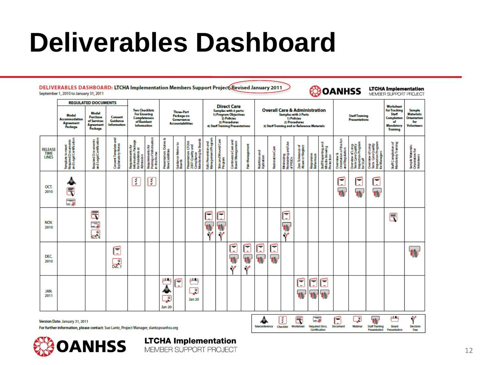#### **Deliverables Dashboard**

DELIVERABLES DASHBOARD: LTCHA Implementation Members Support Project Revised January 2011 September 1, 2010 to January 31, 2011

#### *<u><b>COOANHSS</u>*

**LTCHA Implementation**<br>MEMBER SUPPORT PROJECT

|                                | <b>REGULATED DOCUMENTS</b>                                                                                                      |                                               |                                           |                                                                                            |                                                           | <b>Three-Part</b><br>Package on<br>Governance<br><b>Accountabilities</b> |                               |                                                                               | <b>Direct Care</b><br>Samples with 4 parts:<br>1) Program Objectives<br>2) Policies<br>3) Procedures<br>4) Staff Training Presentations |                                               |                                         |                 | <b>Overall Care &amp; Administration</b><br><b>Samples with 3 Parts</b><br>1) Policies<br>2) Procodures<br>3) Staff Training and or Reference Materials |                 |                                               |                                       |                                              |                                                  | <b>Staff Training</b><br><b>Presentations</b>          |                                                                         |                                                                             | <b>Workshoot</b>                                                                 |                                                                        |
|--------------------------------|---------------------------------------------------------------------------------------------------------------------------------|-----------------------------------------------|-------------------------------------------|--------------------------------------------------------------------------------------------|-----------------------------------------------------------|--------------------------------------------------------------------------|-------------------------------|-------------------------------------------------------------------------------|-----------------------------------------------------------------------------------------------------------------------------------------|-----------------------------------------------|-----------------------------------------|-----------------|---------------------------------------------------------------------------------------------------------------------------------------------------------|-----------------|-----------------------------------------------|---------------------------------------|----------------------------------------------|--------------------------------------------------|--------------------------------------------------------|-------------------------------------------------------------------------|-----------------------------------------------------------------------------|----------------------------------------------------------------------------------|------------------------------------------------------------------------|
|                                | <b>Model</b><br>Model<br>Purchase<br><b>Accommodation</b><br>of Sorvices<br><b>Agreement</b><br>Agreement<br>Package<br>Package |                                               | Consent<br>Guidanco<br>Information        | <b>Two Checklists</b><br><b>For Ensuring</b><br>Completeness<br>of Resident<br>Information |                                                           |                                                                          |                               |                                                                               |                                                                                                                                         |                                               |                                         |                 |                                                                                                                                                         |                 |                                               |                                       |                                              |                                                  |                                                        |                                                                         |                                                                             | for Tracking<br><b>Staff</b><br>Completion<br>of<br>Mandatory<br><b>Training</b> | Sample<br><b>Materials:</b><br>Orientation<br>for<br><b>Voluntoors</b> |
| <b>RELEASE</b><br><b>LINES</b> | Template to meet<br>Required Documents<br>and Legal Certification                                                               | Required Documents<br>and Legal Certification | Consent Template and<br>Explanatory Notes | Requirements for<br>Information Package<br>for Residents at<br>Admission                   | Requirements for<br>Posting of Information<br>In the Home | Presentation: Duties &<br>New Liabilities                                | Guidance Memo to<br>Boards    | Complance<br>Monitoring by Boards<br>Presentation: LTCHA<br>2007: Quality and | Falls Prevention and<br>Management Program                                                                                              | Skin and Wound Care<br>Program                | Continence Care and<br>Bowel Management | Pain Management | Nutrition and<br>Hydration                                                                                                                              | RestorativeCare | Minimizing<br>Restraining and Use<br>of PASDs | Zero Tolerance of<br>Abuse or Neglect | Responsive<br>Behaviours                     | SaffReporting and<br>Whiste-blowing<br>Protecton | Overview &<br>Crientation of the Act<br>and Regulation | Overview of Long<br>Term CareQuality<br>Inspection Program<br>for Staff | Overview of Long-<br>Term CareQuality<br>Inspection Program<br>for Managers | Staff Completion of<br>Mandatory Training                                        | Sample Materials:<br>Orientation for<br>Volunizers                     |
| OCT.<br>2010                   | $\mathbb{F}$<br>E,                                                                                                              |                                               |                                           | इ                                                                                          | र्                                                        |                                                                          |                               |                                                                               |                                                                                                                                         |                                               |                                         |                 |                                                                                                                                                         |                 |                                               |                                       |                                              |                                                  | Е<br>Ħ                                                 | С<br>$\overline{\mathbf{u}}$                                            | ►<br>$\overline{\phantom{a}}$<br><b>IN</b>                                  |                                                                                  |                                                                        |
| NOV.<br>2010                   |                                                                                                                                 | 同事。                                           |                                           |                                                                                            |                                                           |                                                                          |                               |                                                                               | г<br>ι.<br>$\overline{\mathbf{u}}$<br>$\mathbf{v}$                                                                                      | -<br>$\overline{\phantom{a}}$<br>$\mathbf{v}$ |                                         |                 |                                                                                                                                                         |                 | ⊨<br>$\overline{ }$<br>n<br>$\mathbf{v}$      |                                       |                                              |                                                  |                                                        |                                                                         |                                                                             | 民                                                                                |                                                                        |
| <b>DEC</b><br>2010             |                                                                                                                                 |                                               | Ē<br>鶣                                    |                                                                                            |                                                           |                                                                          |                               |                                                                               |                                                                                                                                         |                                               | Ē<br>ť<br>V                             | Ε<br>÷          | Ē                                                                                                                                                       | Ē<br>n          |                                               |                                       |                                              |                                                  |                                                        |                                                                         |                                                                             |                                                                                  | Ħ                                                                      |
| JAN.<br>2011                   |                                                                                                                                 |                                               |                                           |                                                                                            |                                                           | ш<br>$\cdot$<br>Jan 20                                                   | F<br>$\overline{\phantom{a}}$ | 18.21<br>₽<br><b>Jan 20</b>                                                   |                                                                                                                                         |                                               |                                         |                 |                                                                                                                                                         |                 |                                               | E<br>档                                | ᆕ<br>$\overline{\phantom{0}}$                | $\equiv$<br>$\overline{\phantom{a}}$             |                                                        |                                                                         |                                                                             |                                                                                  |                                                                        |
|                                | Version Date: January 31, 2011<br>For further Information, please contact: Sue Lantz, Project Manager, slantz@oanhss.org        |                                               |                                           |                                                                                            |                                                           |                                                                          |                               |                                                                               |                                                                                                                                         |                                               |                                         |                 | Teleconference                                                                                                                                          |                 | ₹<br>Checklist                                | 6<br>Worksheet                        | G,<br><b>Required Docs.</b><br>Certification |                                                  | б<br><b>Document</b>                                   | ♫<br>Wabinar                                                            | <b>Staff Training</b><br>Presentation                                       | 22.23<br>Board<br>Presentation                                                   | Y<br>Decision<br>Troc                                                  |

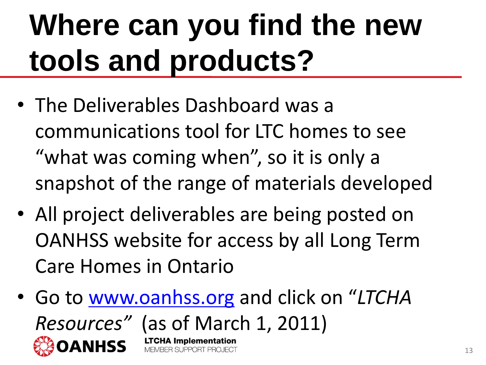## **Where can you find the new tools and products?**

- The Deliverables Dashboard was a communications tool for LTC homes to see "what was coming when", so it is only a snapshot of the range of materials developed
- All project deliverables are being posted on OANHSS website for access by all Long Term Care Homes in Ontario
- Go to [www.oanhss.org](http://www.oanhss.org/) and click on "*LTCHA Resources"* (as of March 1, 2011) **LTCHA Implementation** MEMBER SUPPORT PROJECT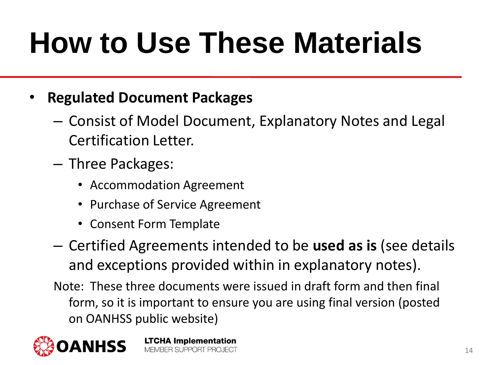## **How to Use These Materials**

#### • **Regulated Document Packages**

- Consist of Model Document, Explanatory Notes and Legal Certification Letter.
- Three Packages:
	- Accommodation Agreement
	- Purchase of Service Agreement
	- Consent Form Template
- Certified Agreements intended to be **used as is** (see details and exceptions provided within in explanatory notes).
- Note: These three documents were issued in draft form and then final form, so it is important to ensure you are using final version (posted on OANHSS public website)

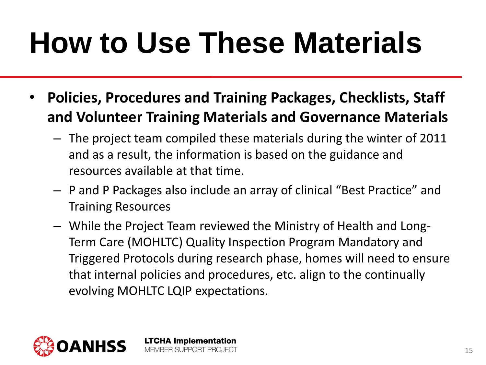### **How to Use These Materials**

- **Policies, Procedures and Training Packages, Checklists, Staff and Volunteer Training Materials and Governance Materials**
	- The project team compiled these materials during the winter of 2011 and as a result, the information is based on the guidance and resources available at that time.
	- P and P Packages also include an array of clinical "Best Practice" and Training Resources
	- While the Project Team reviewed the Ministry of Health and Long-Term Care (MOHLTC) Quality Inspection Program Mandatory and Triggered Protocols during research phase, homes will need to ensure that internal policies and procedures, etc. align to the continually evolving MOHLTC LQIP expectations.

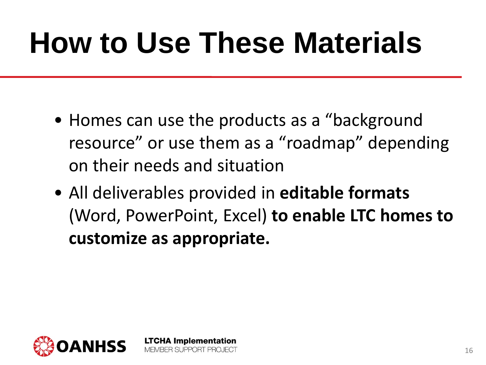### **How to Use These Materials**

- Homes can use the products as a "background" resource" or use them as a "roadmap" depending on their needs and situation
- All deliverables provided in **editable formats**  (Word, PowerPoint, Excel) **to enable LTC homes to customize as appropriate.**

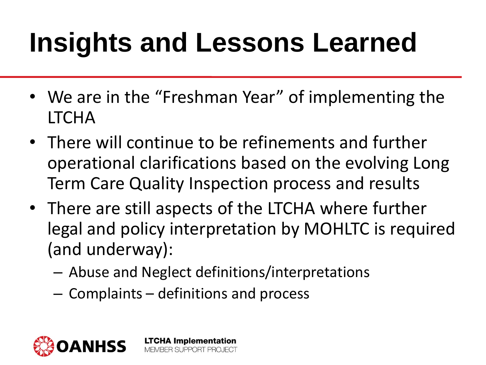#### **Insights and Lessons Learned**

- We are in the "Freshman Year" of implementing the LTCHA
- There will continue to be refinements and further operational clarifications based on the evolving Long Term Care Quality Inspection process and results
- There are still aspects of the LTCHA where further legal and policy interpretation by MOHLTC is required (and underway):
	- Abuse and Neglect definitions/interpretations
	- Complaints definitions and process